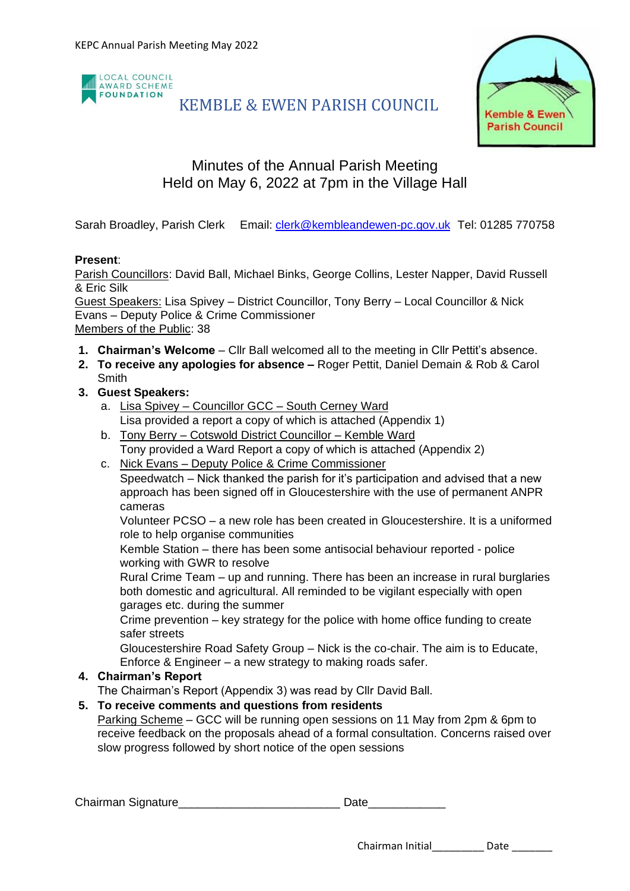

# KEMBLE & EWEN PARISH COUNCIL



## Minutes of the Annual Parish Meeting Held on May 6, 2022 at 7pm in the Village Hall

Sarah Broadley, Parish Clerk Email: [clerk@kembleandewen-pc.gov.uk](mailto:clerk@kembleandewen-pc.gov.uk) Tel: 01285 770758

### **Present**:

Parish Councillors: David Ball, Michael Binks, George Collins, Lester Napper, David Russell & Eric Silk

Guest Speakers: Lisa Spivey – District Councillor, Tony Berry – Local Councillor & Nick Evans – Deputy Police & Crime Commissioner Members of the Public: 38

- **1. Chairman's Welcome** Cllr Ball welcomed all to the meeting in Cllr Pettit's absence.
- **2. To receive any apologies for absence –** Roger Pettit, Daniel Demain & Rob & Carol **Smith**
- **3. Guest Speakers:**
	- a. Lisa Spivey Councillor GCC South Cerney Ward Lisa provided a report a copy of which is attached (Appendix 1)
	- b. Tony Berry Cotswold District Councillor Kemble Ward Tony provided a Ward Report a copy of which is attached (Appendix 2)
	- c. Nick Evans Deputy Police & Crime Commissioner Speedwatch – Nick thanked the parish for it's participation and advised that a new approach has been signed off in Gloucestershire with the use of permanent ANPR cameras

Volunteer PCSO – a new role has been created in Gloucestershire. It is a uniformed role to help organise communities

Kemble Station – there has been some antisocial behaviour reported - police working with GWR to resolve

Rural Crime Team – up and running. There has been an increase in rural burglaries both domestic and agricultural. All reminded to be vigilant especially with open garages etc. during the summer

Crime prevention – key strategy for the police with home office funding to create safer streets

Gloucestershire Road Safety Group – Nick is the co-chair. The aim is to Educate, Enforce & Engineer – a new strategy to making roads safer.

## **4. Chairman's Report**

The Chairman's Report (Appendix 3) was read by Cllr David Ball.

## **5. To receive comments and questions from residents**

Parking Scheme – GCC will be running open sessions on 11 May from 2pm & 6pm to receive feedback on the proposals ahead of a formal consultation. Concerns raised over slow progress followed by short notice of the open sessions

Chairman Signature\_\_\_\_\_\_\_\_\_\_\_\_\_\_\_\_\_\_\_\_\_\_\_\_\_ Date\_\_\_\_\_\_\_\_\_\_\_\_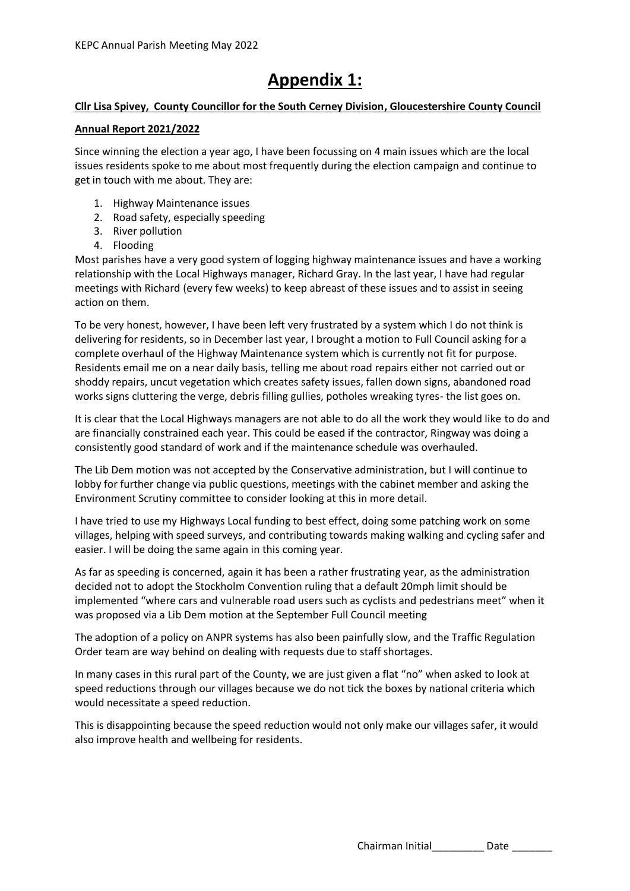# **Appendix 1:**

#### **Cllr Lisa Spivey, County Councillor for the South Cerney Division, Gloucestershire County Council**

#### **Annual Report 2021/2022**

Since winning the election a year ago, I have been focussing on 4 main issues which are the local issues residents spoke to me about most frequently during the election campaign and continue to get in touch with me about. They are:

- 1. Highway Maintenance issues
- 2. Road safety, especially speeding
- 3. River pollution
- 4. Flooding

Most parishes have a very good system of logging highway maintenance issues and have a working relationship with the Local Highways manager, Richard Gray. In the last year, I have had regular meetings with Richard (every few weeks) to keep abreast of these issues and to assist in seeing action on them.

To be very honest, however, I have been left very frustrated by a system which I do not think is delivering for residents, so in December last year, I brought a motion to Full Council asking for a complete overhaul of the Highway Maintenance system which is currently not fit for purpose. Residents email me on a near daily basis, telling me about road repairs either not carried out or shoddy repairs, uncut vegetation which creates safety issues, fallen down signs, abandoned road works signs cluttering the verge, debris filling gullies, potholes wreaking tyres- the list goes on.

It is clear that the Local Highways managers are not able to do all the work they would like to do and are financially constrained each year. This could be eased if the contractor, Ringway was doing a consistently good standard of work and if the maintenance schedule was overhauled.

The Lib Dem motion was not accepted by the Conservative administration, but I will continue to lobby for further change via public questions, meetings with the cabinet member and asking the Environment Scrutiny committee to consider looking at this in more detail.

I have tried to use my Highways Local funding to best effect, doing some patching work on some villages, helping with speed surveys, and contributing towards making walking and cycling safer and easier. I will be doing the same again in this coming year.

As far as speeding is concerned, again it has been a rather frustrating year, as the administration decided not to adopt the Stockholm Convention ruling that a default 20mph limit should be implemented "where cars and vulnerable road users such as cyclists and pedestrians meet" when it was proposed via a Lib Dem motion at the September Full Council meeting

The adoption of a policy on ANPR systems has also been painfully slow, and the Traffic Regulation Order team are way behind on dealing with requests due to staff shortages.

In many cases in this rural part of the County, we are just given a flat "no" when asked to look at speed reductions through our villages because we do not tick the boxes by national criteria which would necessitate a speed reduction.

This is disappointing because the speed reduction would not only make our villages safer, it would also improve health and wellbeing for residents.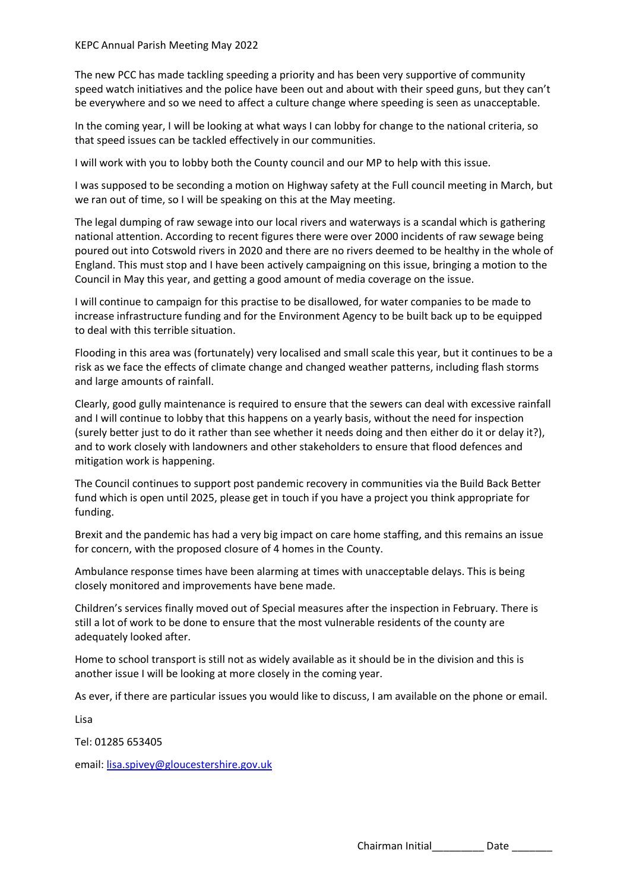The new PCC has made tackling speeding a priority and has been very supportive of community speed watch initiatives and the police have been out and about with their speed guns, but they can't be everywhere and so we need to affect a culture change where speeding is seen as unacceptable.

In the coming year, I will be looking at what ways I can lobby for change to the national criteria, so that speed issues can be tackled effectively in our communities.

I will work with you to lobby both the County council and our MP to help with this issue.

I was supposed to be seconding a motion on Highway safety at the Full council meeting in March, but we ran out of time, so I will be speaking on this at the May meeting.

The legal dumping of raw sewage into our local rivers and waterways is a scandal which is gathering national attention. According to recent figures there were over 2000 incidents of raw sewage being poured out into Cotswold rivers in 2020 and there are no rivers deemed to be healthy in the whole of England. This must stop and I have been actively campaigning on this issue, bringing a motion to the Council in May this year, and getting a good amount of media coverage on the issue.

I will continue to campaign for this practise to be disallowed, for water companies to be made to increase infrastructure funding and for the Environment Agency to be built back up to be equipped to deal with this terrible situation.

Flooding in this area was (fortunately) very localised and small scale this year, but it continues to be a risk as we face the effects of climate change and changed weather patterns, including flash storms and large amounts of rainfall.

Clearly, good gully maintenance is required to ensure that the sewers can deal with excessive rainfall and I will continue to lobby that this happens on a yearly basis, without the need for inspection (surely better just to do it rather than see whether it needs doing and then either do it or delay it?), and to work closely with landowners and other stakeholders to ensure that flood defences and mitigation work is happening.

The Council continues to support post pandemic recovery in communities via the Build Back Better fund which is open until 2025, please get in touch if you have a project you think appropriate for funding.

Brexit and the pandemic has had a very big impact on care home staffing, and this remains an issue for concern, with the proposed closure of 4 homes in the County.

Ambulance response times have been alarming at times with unacceptable delays. This is being closely monitored and improvements have bene made.

Children's services finally moved out of Special measures after the inspection in February. There is still a lot of work to be done to ensure that the most vulnerable residents of the county are adequately looked after.

Home to school transport is still not as widely available as it should be in the division and this is another issue I will be looking at more closely in the coming year.

As ever, if there are particular issues you would like to discuss, I am available on the phone or email.

Lisa

Tel: 01285 653405

email: [lisa.spivey@gloucestershire.gov.uk](mailto:lisa.spivey@gloucestershire.gov.uk)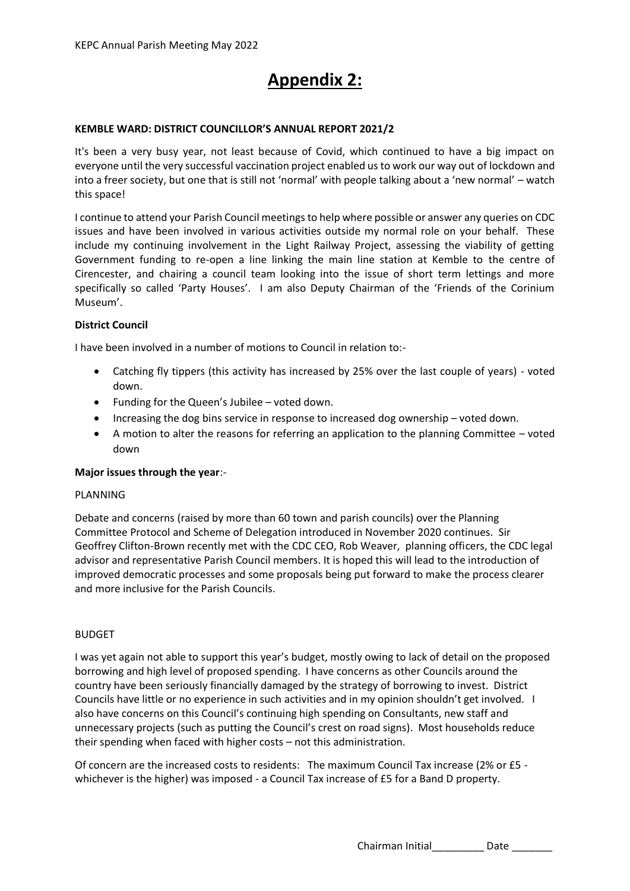# **Appendix 2:**

#### **KEMBLE WARD: DISTRICT COUNCILLOR'S ANNUAL REPORT 2021/2**

It's been a very busy year, not least because of Covid, which continued to have a big impact on everyone until the very successful vaccination project enabled us to work our way out of lockdown and into a freer society, but one that is still not 'normal' with people talking about a 'new normal' – watch this space!

I continue to attend your Parish Council meetings to help where possible or answer any queries on CDC issues and have been involved in various activities outside my normal role on your behalf. These include my continuing involvement in the Light Railway Project, assessing the viability of getting Government funding to re-open a line linking the main line station at Kemble to the centre of Cirencester, and chairing a council team looking into the issue of short term lettings and more specifically so called 'Party Houses'. I am also Deputy Chairman of the 'Friends of the Corinium Museum'.

#### **District Council**

I have been involved in a number of motions to Council in relation to:-

- Catching fly tippers (this activity has increased by 25% over the last couple of years) voted down.
- Funding for the Queen's Jubilee voted down.
- Increasing the dog bins service in response to increased dog ownership voted down.
- A motion to alter the reasons for referring an application to the planning Committee voted down

#### **Major issues through the year**:-

#### PLANNING

Debate and concerns (raised by more than 60 town and parish councils) over the Planning Committee Protocol and Scheme of Delegation introduced in November 2020 continues. Sir Geoffrey Clifton-Brown recently met with the CDC CEO, Rob Weaver, planning officers, the CDC legal advisor and representative Parish Council members. It is hoped this will lead to the introduction of improved democratic processes and some proposals being put forward to make the process clearer and more inclusive for the Parish Councils.

#### BUDGET

I was yet again not able to support this year's budget, mostly owing to lack of detail on the proposed borrowing and high level of proposed spending. I have concerns as other Councils around the country have been seriously financially damaged by the strategy of borrowing to invest. District Councils have little or no experience in such activities and in my opinion shouldn't get involved. I also have concerns on this Council's continuing high spending on Consultants, new staff and unnecessary projects (such as putting the Council's crest on road signs). Most households reduce their spending when faced with higher costs – not this administration.

Of concern are the increased costs to residents: The maximum Council Tax increase (2% or £5 whichever is the higher) was imposed - a Council Tax increase of £5 for a Band D property.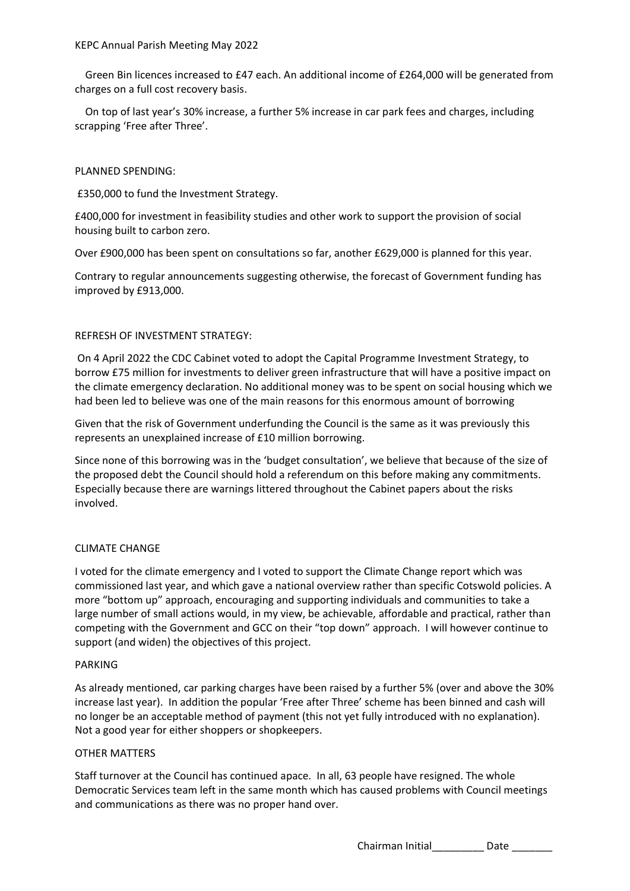Green Bin licences increased to £47 each. An additional income of £264,000 will be generated from charges on a full cost recovery basis.

 On top of last year's 30% increase, a further 5% increase in car park fees and charges, including scrapping 'Free after Three'.

#### PLANNED SPENDING:

£350,000 to fund the Investment Strategy.

£400,000 for investment in feasibility studies and other work to support the provision of social housing built to carbon zero.

Over £900,000 has been spent on consultations so far, another £629,000 is planned for this year.

Contrary to regular announcements suggesting otherwise, the forecast of Government funding has improved by £913,000.

#### REFRESH OF INVESTMENT STRATEGY:

On 4 April 2022 the CDC Cabinet voted to adopt the Capital Programme Investment Strategy, to borrow £75 million for investments to deliver green infrastructure that will have a positive impact on the climate emergency declaration. No additional money was to be spent on social housing which we had been led to believe was one of the main reasons for this enormous amount of borrowing

Given that the risk of Government underfunding the Council is the same as it was previously this represents an unexplained increase of £10 million borrowing.

Since none of this borrowing was in the 'budget consultation', we believe that because of the size of the proposed debt the Council should hold a referendum on this before making any commitments. Especially because there are warnings littered throughout the Cabinet papers about the risks involved.

#### CLIMATE CHANGE

I voted for the climate emergency and I voted to support the Climate Change report which was commissioned last year, and which gave a national overview rather than specific Cotswold policies. A more "bottom up" approach, encouraging and supporting individuals and communities to take a large number of small actions would, in my view, be achievable, affordable and practical, rather than competing with the Government and GCC on their "top down" approach. I will however continue to support (and widen) the objectives of this project.

#### PARKING

As already mentioned, car parking charges have been raised by a further 5% (over and above the 30% increase last year). In addition the popular 'Free after Three' scheme has been binned and cash will no longer be an acceptable method of payment (this not yet fully introduced with no explanation). Not a good year for either shoppers or shopkeepers.

#### OTHER MATTERS

Staff turnover at the Council has continued apace. In all, 63 people have resigned. The whole Democratic Services team left in the same month which has caused problems with Council meetings and communications as there was no proper hand over.

Chairman Initial\_\_\_\_\_\_\_\_\_ Date \_\_\_\_\_\_\_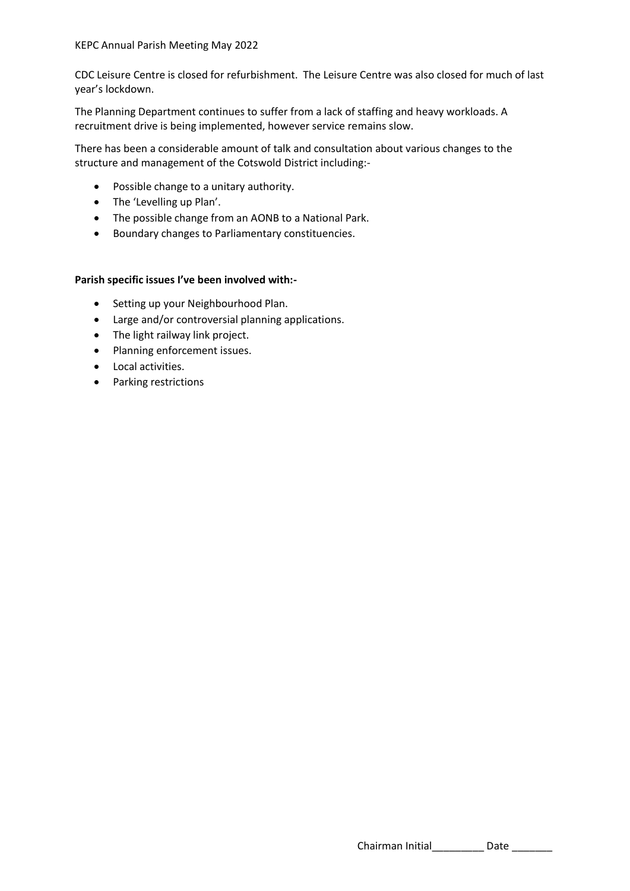CDC Leisure Centre is closed for refurbishment. The Leisure Centre was also closed for much of last year's lockdown.

The Planning Department continues to suffer from a lack of staffing and heavy workloads. A recruitment drive is being implemented, however service remains slow.

There has been a considerable amount of talk and consultation about various changes to the structure and management of the Cotswold District including:-

- Possible change to a unitary authority.
- The 'Levelling up Plan'.
- The possible change from an AONB to a National Park.
- Boundary changes to Parliamentary constituencies.

#### **Parish specific issues I've been involved with:-**

- Setting up your Neighbourhood Plan.
- Large and/or controversial planning applications.
- The light railway link project.
- Planning enforcement issues.
- Local activities.
- Parking restrictions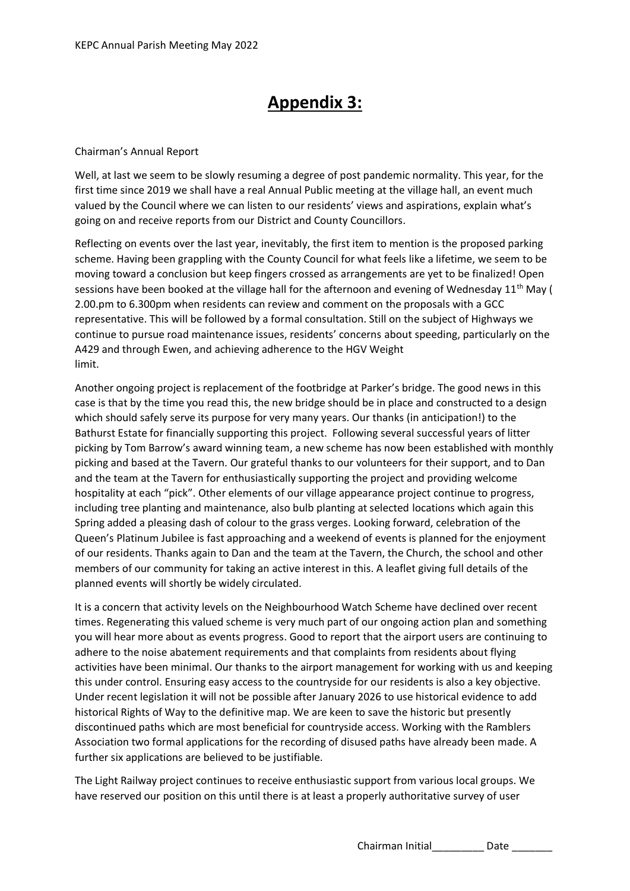# **Appendix 3:**

### Chairman's Annual Report

Well, at last we seem to be slowly resuming a degree of post pandemic normality. This year, for the first time since 2019 we shall have a real Annual Public meeting at the village hall, an event much valued by the Council where we can listen to our residents' views and aspirations, explain what's going on and receive reports from our District and County Councillors.

Reflecting on events over the last year, inevitably, the first item to mention is the proposed parking scheme. Having been grappling with the County Council for what feels like a lifetime, we seem to be moving toward a conclusion but keep fingers crossed as arrangements are yet to be finalized! Open sessions have been booked at the village hall for the afternoon and evening of Wednesday 11<sup>th</sup> May ( 2.00.pm to 6.300pm when residents can review and comment on the proposals with a GCC representative. This will be followed by a formal consultation. Still on the subject of Highways we continue to pursue road maintenance issues, residents' concerns about speeding, particularly on the A429 and through Ewen, and achieving adherence to the HGV Weight limit.

Another ongoing project is replacement of the footbridge at Parker's bridge. The good news in this case is that by the time you read this, the new bridge should be in place and constructed to a design which should safely serve its purpose for very many years. Our thanks (in anticipation!) to the Bathurst Estate for financially supporting this project. Following several successful years of litter picking by Tom Barrow's award winning team, a new scheme has now been established with monthly picking and based at the Tavern. Our grateful thanks to our volunteers for their support, and to Dan and the team at the Tavern for enthusiastically supporting the project and providing welcome hospitality at each "pick". Other elements of our village appearance project continue to progress, including tree planting and maintenance, also bulb planting at selected locations which again this Spring added a pleasing dash of colour to the grass verges. Looking forward, celebration of the Queen's Platinum Jubilee is fast approaching and a weekend of events is planned for the enjoyment of our residents. Thanks again to Dan and the team at the Tavern, the Church, the school and other members of our community for taking an active interest in this. A leaflet giving full details of the planned events will shortly be widely circulated.

It is a concern that activity levels on the Neighbourhood Watch Scheme have declined over recent times. Regenerating this valued scheme is very much part of our ongoing action plan and something you will hear more about as events progress. Good to report that the airport users are continuing to adhere to the noise abatement requirements and that complaints from residents about flying activities have been minimal. Our thanks to the airport management for working with us and keeping this under control. Ensuring easy access to the countryside for our residents is also a key objective. Under recent legislation it will not be possible after January 2026 to use historical evidence to add historical Rights of Way to the definitive map. We are keen to save the historic but presently discontinued paths which are most beneficial for countryside access. Working with the Ramblers Association two formal applications for the recording of disused paths have already been made. A further six applications are believed to be justifiable.

The Light Railway project continues to receive enthusiastic support from various local groups. We have reserved our position on this until there is at least a properly authoritative survey of user